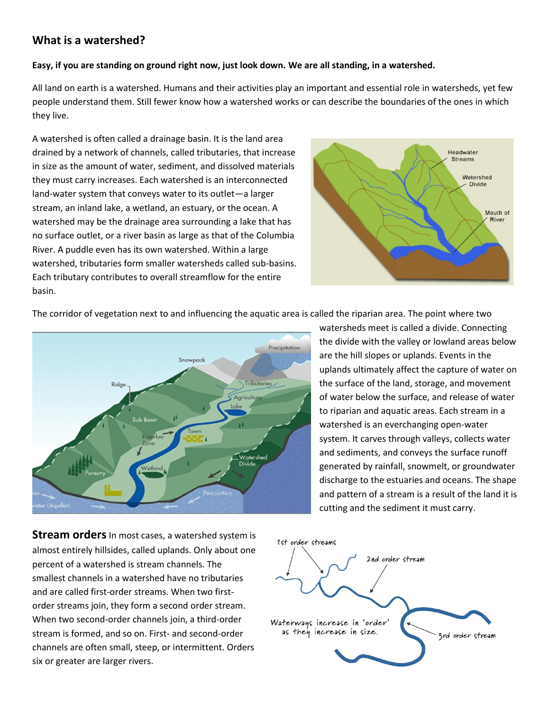# **What is a watershed?**

#### **Easy, if you are standing on ground right now, just look down. We are all standing, in a watershed.**

All land on earth is a watershed. Humans and their activities play an important and essential role in watersheds, yet few people understand them. Still fewer know how a watershed works or can describe the boundaries of the ones in which they live.

A watershed is often called a drainage basin. It is the land area drained by a network of channels, called tributaries, that increase in size as the amount of water, sediment, and dissolved materials they must carry increases. Each watershed is an interconnected land-water system that conveys water to its outlet—a larger stream, an inland lake, a wetland, an estuary, or the ocean. A watershed may be the drainage area surrounding a lake that has no surface outlet, or a river basin as large as that of the Columbia River. A puddle even has its own watershed. Within a large watershed, tributaries form smaller watersheds called sub-basins. Each tributary contributes to overall streamflow for the entire basin.



The corridor of vegetation next to and influencing the aquatic area is called the riparian area. The point where two



**Stream orders** In most cases, a watershed system is almost entirely hillsides, called uplands. Only about one percent of a watershed is stream channels. The smallest channels in a watershed have no tributaries and are called first-order streams. When two firstorder streams join, they form a second order stream. When two second-order channels join, a third-order stream is formed, and so on. First- and second-order channels are often small, steep, or intermittent. Orders six or greater are larger rivers.

watersheds meet is called a divide. Connecting the divide with the valley or lowland areas below are the hill slopes or uplands. Events in the uplands ultimately affect the capture of water on the surface of the land, storage, and movement of water below the surface, and release of water to riparian and aquatic areas. Each stream in a watershed is an everchanging open-water system. It carves through valleys, collects water and sediments, and conveys the surface runoff generated by rainfall, snowmelt, or groundwater discharge to the estuaries and oceans. The shape and pattern of a stream is a result of the land it is cutting and the sediment it must carry.

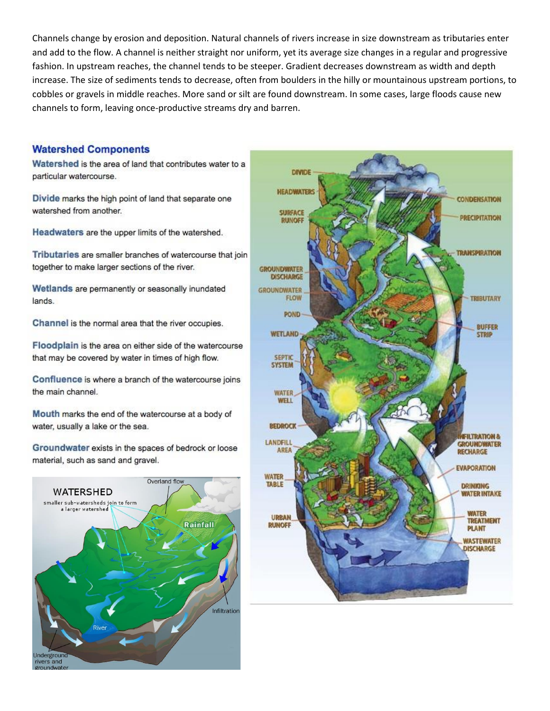Channels change by erosion and deposition. Natural channels of rivers increase in size downstream as tributaries enter and add to the flow. A channel is neither straight nor uniform, yet its average size changes in a regular and progressive fashion. In upstream reaches, the channel tends to be steeper. Gradient decreases downstream as width and depth increase. The size of sediments tends to decrease, often from boulders in the hilly or mountainous upstream portions, to cobbles or gravels in middle reaches. More sand or silt are found downstream. In some cases, large floods cause new channels to form, leaving once-productive streams dry and barren.

#### **Watershed Components**

Watershed is the area of land that contributes water to a particular watercourse.

Divide marks the high point of land that separate one watershed from another.

Headwaters are the upper limits of the watershed.

Tributaries are smaller branches of watercourse that join together to make larger sections of the river.

Wetlands are permanently or seasonally inundated lands.

Channel is the normal area that the river occupies.

Floodplain is the area on either side of the watercourse that may be covered by water in times of high flow.

Confluence is where a branch of the watercourse joins the main channel.

Mouth marks the end of the watercourse at a body of water, usually a lake or the sea.

Groundwater exists in the spaces of bedrock or loose material, such as sand and gravel.



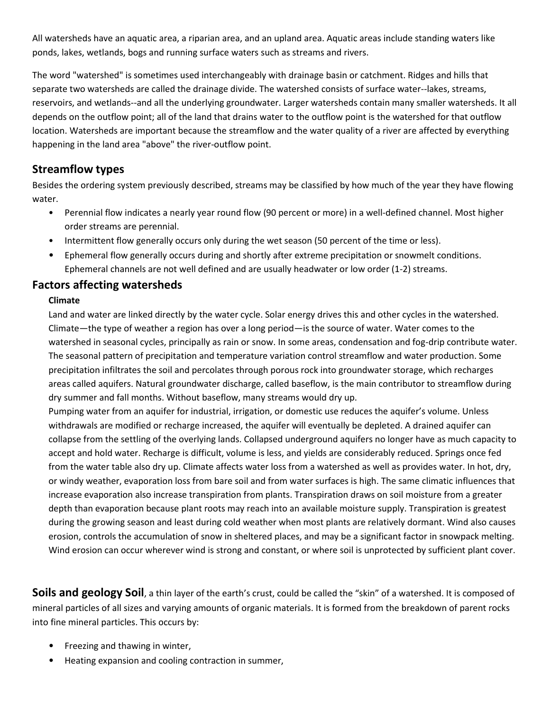All watersheds have an aquatic area, a riparian area, and an upland area. Aquatic areas include standing waters like ponds, lakes, wetlands, bogs and running surface waters such as streams and rivers.

The word "watershed" is sometimes used interchangeably with drainage basin or catchment. Ridges and hills that separate two watersheds are called the drainage divide. The watershed consists of surface water--lakes, streams, reservoirs, and wetlands--and all the underlying groundwater. Larger watersheds contain many smaller watersheds. It all depends on the outflow point; all of the land that drains water to the outflow point is the watershed for that outflow location. Watersheds are important because the streamflow and the water quality of a river are affected by everything happening in the land area "above" the river-outflow point.

# **Streamflow types**

Besides the ordering system previously described, streams may be classified by how much of the year they have flowing water.

- Perennial flow indicates a nearly year round flow (90 percent or more) in a well-defined channel. Most higher order streams are perennial.
- Intermittent flow generally occurs only during the wet season (50 percent of the time or less).
- Ephemeral flow generally occurs during and shortly after extreme precipitation or snowmelt conditions. Ephemeral channels are not well defined and are usually headwater or low order (1-2) streams.

### **Factors affecting watersheds**

### **Climate**

Land and water are linked directly by the water cycle. Solar energy drives this and other cycles in the watershed. Climate—the type of weather a region has over a long period—is the source of water. Water comes to the watershed in seasonal cycles, principally as rain or snow. In some areas, condensation and fog-drip contribute water. The seasonal pattern of precipitation and temperature variation control streamflow and water production. Some precipitation infiltrates the soil and percolates through porous rock into groundwater storage, which recharges areas called aquifers. Natural groundwater discharge, called baseflow, is the main contributor to streamflow during dry summer and fall months. Without baseflow, many streams would dry up.

Pumping water from an aquifer for industrial, irrigation, or domestic use reduces the aquifer's volume. Unless withdrawals are modified or recharge increased, the aquifer will eventually be depleted. A drained aquifer can collapse from the settling of the overlying lands. Collapsed underground aquifers no longer have as much capacity to accept and hold water. Recharge is difficult, volume is less, and yields are considerably reduced. Springs once fed from the water table also dry up. Climate affects water loss from a watershed as well as provides water. In hot, dry, or windy weather, evaporation loss from bare soil and from water surfaces is high. The same climatic influences that increase evaporation also increase transpiration from plants. Transpiration draws on soil moisture from a greater depth than evaporation because plant roots may reach into an available moisture supply. Transpiration is greatest during the growing season and least during cold weather when most plants are relatively dormant. Wind also causes erosion, controls the accumulation of snow in sheltered places, and may be a significant factor in snowpack melting. Wind erosion can occur wherever wind is strong and constant, or where soil is unprotected by sufficient plant cover.

**Soils and geology Soil**, a thin layer of the earth's crust, could be called the "skin" of a watershed. It is composed of mineral particles of all sizes and varying amounts of organic materials. It is formed from the breakdown of parent rocks into fine mineral particles. This occurs by:

- Freezing and thawing in winter,
- Heating expansion and cooling contraction in summer,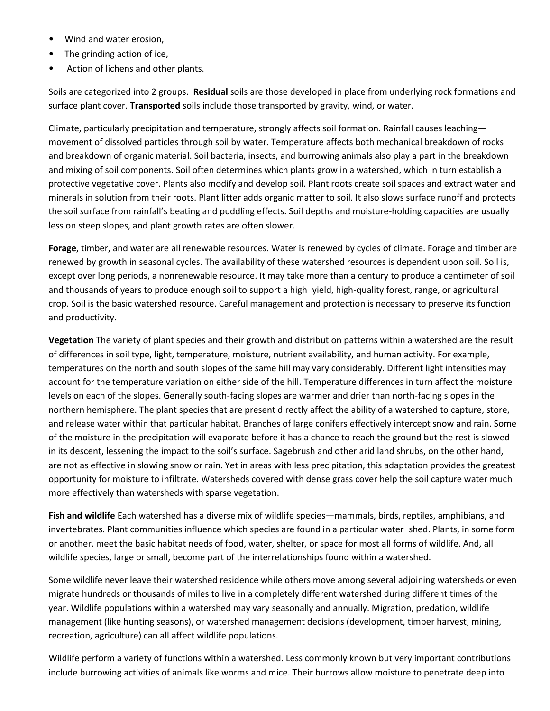- Wind and water erosion,
- The grinding action of ice,
- Action of lichens and other plants.

Soils are categorized into 2 groups. **Residual** soils are those developed in place from underlying rock formations and surface plant cover. **Transported** soils include those transported by gravity, wind, or water.

Climate, particularly precipitation and temperature, strongly affects soil formation. Rainfall causes leaching movement of dissolved particles through soil by water. Temperature affects both mechanical breakdown of rocks and breakdown of organic material. Soil bacteria, insects, and burrowing animals also play a part in the breakdown and mixing of soil components. Soil often determines which plants grow in a watershed, which in turn establish a protective vegetative cover. Plants also modify and develop soil. Plant roots create soil spaces and extract water and minerals in solution from their roots. Plant litter adds organic matter to soil. It also slows surface runoff and protects the soil surface from rainfall's beating and puddling effects. Soil depths and moisture-holding capacities are usually less on steep slopes, and plant growth rates are often slower.

**Forage**, timber, and water are all renewable resources. Water is renewed by cycles of climate. Forage and timber are renewed by growth in seasonal cycles. The availability of these watershed resources is dependent upon soil. Soil is, except over long periods, a nonrenewable resource. It may take more than a century to produce a centimeter of soil and thousands of years to produce enough soil to support a high yield, high-quality forest, range, or agricultural crop. Soil is the basic watershed resource. Careful management and protection is necessary to preserve its function and productivity.

**Vegetation** The variety of plant species and their growth and distribution patterns within a watershed are the result of differences in soil type, light, temperature, moisture, nutrient availability, and human activity. For example, temperatures on the north and south slopes of the same hill may vary considerably. Different light intensities may account for the temperature variation on either side of the hill. Temperature differences in turn affect the moisture levels on each of the slopes. Generally south-facing slopes are warmer and drier than north-facing slopes in the northern hemisphere. The plant species that are present directly affect the ability of a watershed to capture, store, and release water within that particular habitat. Branches of large conifers effectively intercept snow and rain. Some of the moisture in the precipitation will evaporate before it has a chance to reach the ground but the rest is slowed in its descent, lessening the impact to the soil's surface. Sagebrush and other arid land shrubs, on the other hand, are not as effective in slowing snow or rain. Yet in areas with less precipitation, this adaptation provides the greatest opportunity for moisture to infiltrate. Watersheds covered with dense grass cover help the soil capture water much more effectively than watersheds with sparse vegetation.

**Fish and wildlife** Each watershed has a diverse mix of wildlife species—mammals, birds, reptiles, amphibians, and invertebrates. Plant communities influence which species are found in a particular water shed. Plants, in some form or another, meet the basic habitat needs of food, water, shelter, or space for most all forms of wildlife. And, all wildlife species, large or small, become part of the interrelationships found within a watershed.

Some wildlife never leave their watershed residence while others move among several adjoining watersheds or even migrate hundreds or thousands of miles to live in a completely different watershed during different times of the year. Wildlife populations within a watershed may vary seasonally and annually. Migration, predation, wildlife management (like hunting seasons), or watershed management decisions (development, timber harvest, mining, recreation, agriculture) can all affect wildlife populations.

Wildlife perform a variety of functions within a watershed. Less commonly known but very important contributions include burrowing activities of animals like worms and mice. Their burrows allow moisture to penetrate deep into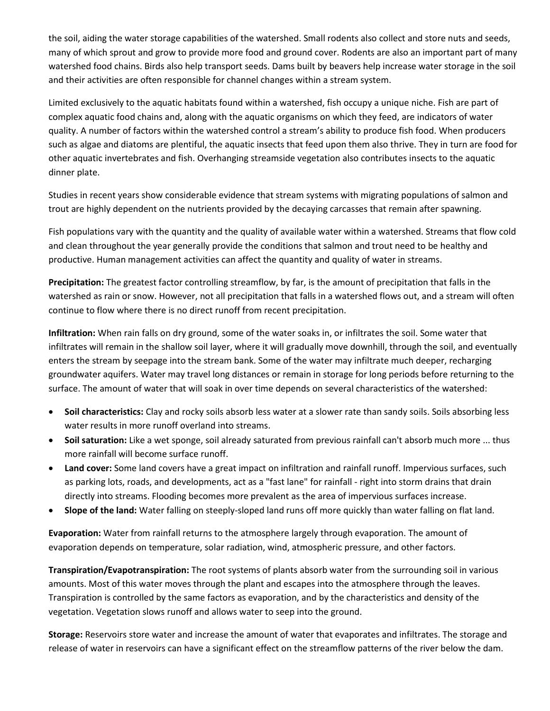the soil, aiding the water storage capabilities of the watershed. Small rodents also collect and store nuts and seeds, many of which sprout and grow to provide more food and ground cover. Rodents are also an important part of many watershed food chains. Birds also help transport seeds. Dams built by beavers help increase water storage in the soil and their activities are often responsible for channel changes within a stream system.

Limited exclusively to the aquatic habitats found within a watershed, fish occupy a unique niche. Fish are part of complex aquatic food chains and, along with the aquatic organisms on which they feed, are indicators of water quality. A number of factors within the watershed control a stream's ability to produce fish food. When producers such as algae and diatoms are plentiful, the aquatic insects that feed upon them also thrive. They in turn are food for other aquatic invertebrates and fish. Overhanging streamside vegetation also contributes insects to the aquatic dinner plate.

Studies in recent years show considerable evidence that stream systems with migrating populations of salmon and trout are highly dependent on the nutrients provided by the decaying carcasses that remain after spawning.

Fish populations vary with the quantity and the quality of available water within a watershed. Streams that flow cold and clean throughout the year generally provide the conditions that salmon and trout need to be healthy and productive. Human management activities can affect the quantity and quality of water in streams.

**Precipitation:** The greatest factor controlling streamflow, by far, is the amount of precipitation that falls in the watershed as rain or snow. However, not all precipitation that falls in a watershed flows out, and a stream will often continue to flow where there is no direct runoff from recent precipitation.

**Infiltration:** When rain falls on dry ground, some of the water soaks in, or infiltrates the soil. Some water that infiltrates will remain in the shallow soil layer, where it will gradually move downhill, through the soil, and eventually enters the stream by seepage into the stream bank. Some of the water may infiltrate much deeper, recharging groundwater aquifers. Water may travel long distances or remain in storage for long periods before returning to the surface. The amount of water that will soak in over time depends on several characteristics of the watershed:

- **Soil characteristics:** Clay and rocky soils absorb less water at a slower rate than sandy soils. Soils absorbing less water results in more runoff overland into streams.
- **Soil saturation:** Like a wet sponge, soil already saturated from previous rainfall can't absorb much more ... thus more rainfall will become surface runoff.
- **Land cover:** Some land covers have a great impact on infiltration and rainfall runoff. Impervious surfaces, such as parking lots, roads, and developments, act as a "fast lane" for rainfall - right into storm drains that drain directly into streams. Flooding becomes more prevalent as the area of impervious surfaces increase.
- **Slope of the land:** Water falling on steeply-sloped land runs off more quickly than water falling on flat land.

**Evaporation:** Water from rainfall returns to the atmosphere largely through evaporation. The amount of evaporation depends on temperature, solar radiation, wind, atmospheric pressure, and other factors.

**Transpiration/Evapotranspiration:** The root systems of plants absorb water from the surrounding soil in various amounts. Most of this water moves through the plant and escapes into the atmosphere through the leaves. Transpiration is controlled by the same factors as evaporation, and by the characteristics and density of the vegetation. Vegetation slows runoff and allows water to seep into the ground.

**Storage:** Reservoirs store water and increase the amount of water that evaporates and infiltrates. The storage and release of water in reservoirs can have a significant effect on the streamflow patterns of the river below the dam.